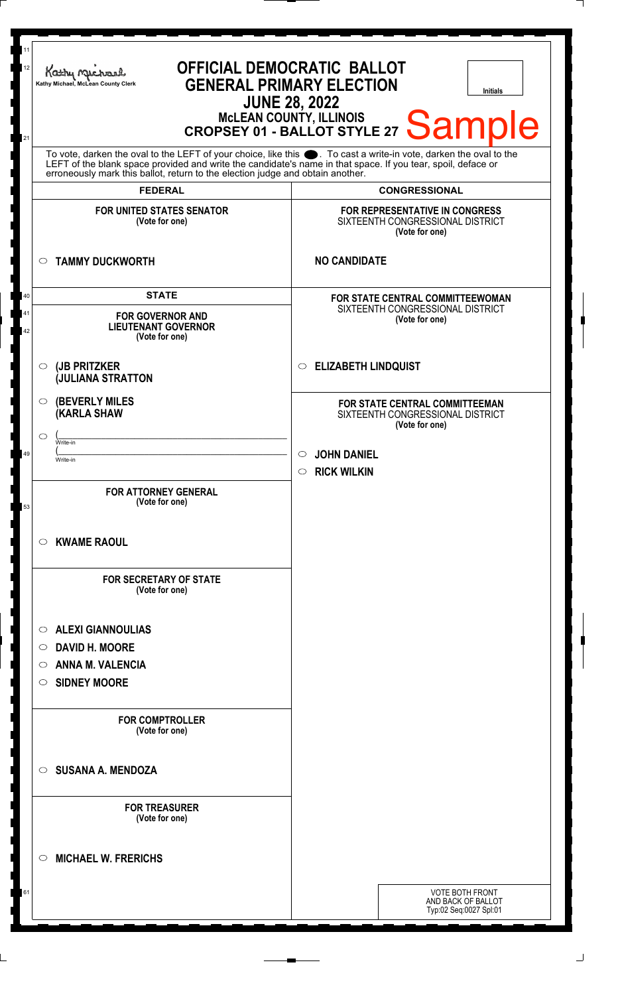| 11<br><b>OFFICIAL DEMOCRATIC BALLOT</b><br>12<br>Kathy Michael<br><b>GENERAL PRIMARY ELECTION</b><br>Kathy Michael, McLean County Clerk<br><b>Initials</b><br><b>JUNE 28, 2022</b><br>MCLEAN COUNTY, ILLINOIS CROPSEY 01 - BALLOT STYLE 27 Sample<br>21                                                                |                                                                                      |  |
|------------------------------------------------------------------------------------------------------------------------------------------------------------------------------------------------------------------------------------------------------------------------------------------------------------------------|--------------------------------------------------------------------------------------|--|
| To vote, darken the oval to the LEFT of your choice, like this $\bullet$ . To cast a write-in vote, darken the oval to the LEFT of the blank space provided and write the candidate's name in that space. If you tear, spoil, deface<br>erroneously mark this ballot, return to the election judge and obtain another. |                                                                                      |  |
| <b>FEDERAL</b>                                                                                                                                                                                                                                                                                                         | <b>CONGRESSIONAL</b>                                                                 |  |
| <b>FOR UNITED STATES SENATOR</b><br>(Vote for one)                                                                                                                                                                                                                                                                     | FOR REPRESENTATIVE IN CONGRESS<br>SIXTEENTH CONGRESSIONAL DISTRICT<br>(Vote for one) |  |
| <b>TAMMY DUCKWORTH</b><br>$\circ$                                                                                                                                                                                                                                                                                      | <b>NO CANDIDATE</b>                                                                  |  |
| <b>STATE</b>                                                                                                                                                                                                                                                                                                           | <b>FOR STATE CENTRAL COMMITTEEWOMAN</b>                                              |  |
| <b>FOR GOVERNOR AND</b><br><b>LIEUTENANT GOVERNOR</b><br>(Vote for one)                                                                                                                                                                                                                                                | SIXTEENTH CONGRESSIONAL DISTRICT<br>(Vote for one)                                   |  |
| (JB PRITZKER<br>$\circ$<br><b>JULIANA STRATTON</b>                                                                                                                                                                                                                                                                     | <b>ELIZABETH LINDQUIST</b><br>$\circ$                                                |  |
| <b>(BEVERLY MILES)</b><br>O<br><b>(KARLA SHAW</b>                                                                                                                                                                                                                                                                      | FOR STATE CENTRAL COMMITTEEMAN<br>SIXTEENTH CONGRESSIONAL DISTRICT<br>(Vote for one) |  |
| ◯<br>Write-in                                                                                                                                                                                                                                                                                                          |                                                                                      |  |
| Write-in                                                                                                                                                                                                                                                                                                               | <b>JOHN DANIEL</b><br>$\circ$<br><b>RICK WILKIN</b><br>$\circ$                       |  |
| <b>FOR ATTORNEY GENERAL</b><br>(Vote for one)                                                                                                                                                                                                                                                                          |                                                                                      |  |
| <b>KWAME RAOUL</b><br>O                                                                                                                                                                                                                                                                                                |                                                                                      |  |
| <b>FOR SECRETARY OF STATE</b><br>(Vote for one)                                                                                                                                                                                                                                                                        |                                                                                      |  |
| <b>ALEXI GIANNOULIAS</b><br>$\circ$                                                                                                                                                                                                                                                                                    |                                                                                      |  |
| <b>DAVID H. MOORE</b><br>O                                                                                                                                                                                                                                                                                             |                                                                                      |  |
| <b>ANNA M. VALENCIA</b><br>O                                                                                                                                                                                                                                                                                           |                                                                                      |  |
| <b>SIDNEY MOORE</b><br>O                                                                                                                                                                                                                                                                                               |                                                                                      |  |
| <b>FOR COMPTROLLER</b><br>(Vote for one)                                                                                                                                                                                                                                                                               |                                                                                      |  |
| <b>SUSANA A. MENDOZA</b><br>◯                                                                                                                                                                                                                                                                                          |                                                                                      |  |
| <b>FOR TREASURER</b><br>(Vote for one)                                                                                                                                                                                                                                                                                 |                                                                                      |  |
| <b>MICHAEL W. FRERICHS</b><br>$\circ$                                                                                                                                                                                                                                                                                  |                                                                                      |  |
|                                                                                                                                                                                                                                                                                                                        | VOTE BOTH FRONT<br>AND BACK OF BALLOT<br>Typ:02 Seq:0027 Spl:01                      |  |